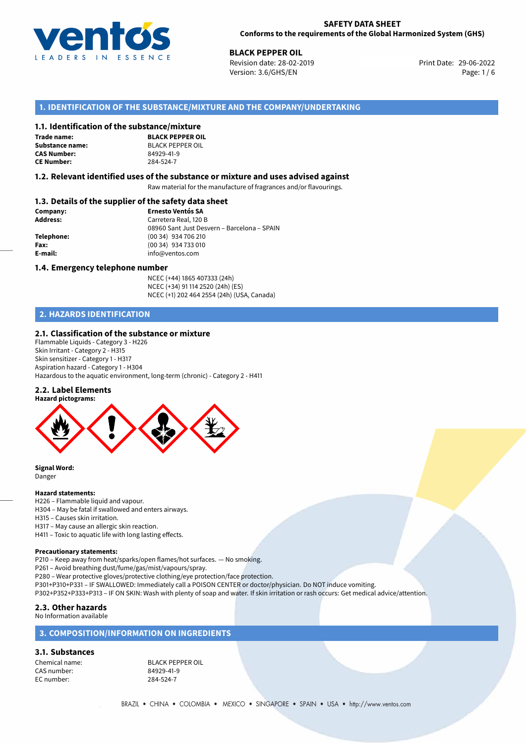

**BLACK PEPPER OIL**<br>
Revision date: 28-02-2019<br> **Print Date: 29-06-2022** Revision date: 28-02-2019 Version: 3.6/GHS/EN Page: 1/6

# **1. IDENTIFICATION OF THE SUBSTANCE/MIXTURE AND THE COMPANY/UNDERTAKING**

#### **1.1. Identification of the substance/mixture**

**Trade name: CAS Number: CE Number:** 284-524-7

**BLACK PEPPER OIL Substance name:** BLACK PEPPER OIL<br> **CAS Number:** 84929-41-9

#### **1.2. Relevant identified uses of the substance or mixture and uses advised against**

Raw material for the manufacture of fragrances and/or flavourings.

## **1.3. Details of the supplier of the safety data sheet**

| Company:        | <b>Ernesto Ventós SA</b>                    |
|-----------------|---------------------------------------------|
| <b>Address:</b> | Carretera Real, 120 B                       |
|                 | 08960 Sant Just Desvern - Barcelona - SPAIN |
| Telephone:      | (00 34) 934 706 210                         |
| Fax:            | $(0034)$ 934 733 010                        |
| E-mail:         | info@ventos.com                             |
|                 |                                             |

#### **1.4. Emergency telephone number**

NCEC (+44) 1865 407333 (24h) NCEC (+34) 91 114 2520 (24h) (ES) NCEC (+1) 202 464 2554 (24h) (USA, Canada)

# **2. HAZARDS IDENTIFICATION**

#### **2.1. Classification of the substance or mixture**

Flammable Liquids - Category 3 - H226 Skin Irritant - Category 2 - H315 Skin sensitizer - Category 1 - H317 Aspiration hazard - Category 1 - H304 Hazardous to the aquatic environment, long-term (chronic) - Category 2 - H411

#### **2.2. Label Elements**



**Signal Word:** Danger

## **Hazard statements:**

- H226 Flammable liquid and vapour.
- H304 May be fatal if swallowed and enters airways.
- H315 Causes skin irritation.
- H317 May cause an allergic skin reaction.
- H411 Toxic to aquatic life with long lasting effects.

#### **Precautionary statements:**

P210 – Keep away from heat/sparks/open flames/hot surfaces. — No smoking.

P261 – Avoid breathing dust/fume/gas/mist/vapours/spray.

P280 – Wear protective gloves/protective clothing/eye protection/face protection.

P301+P310+P331 – IF SWALLOWED: Immediately call a POISON CENTER or doctor/physician. Do NOT induce vomiting.

P302+P352+P333+P313 – IF ON SKIN: Wash with plenty of soap and water. If skin irritation or rash occurs: Get medical advice/attention.

#### **2.3. Other hazards**

No Information available

# **3. COMPOSITION/INFORMATION ON INGREDIENTS**

#### **3.1. Substances**

CAS number: EC number: 284-524-7

Chemical name: BLACK PEPPER OIL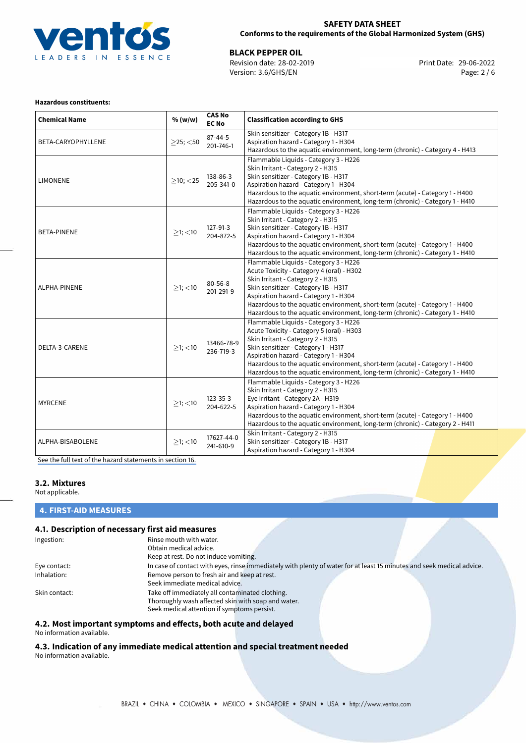

## **SAFETY DATA SHEET Conforms to the requirements of the Global Harmonized System (GHS)**

**BLACK PEPPER OIL**<br>
Revision date: 28-02-2019 **Print Date: 29-06-2022** Version: 3.6/GHS/EN Page: 2 / 6

#### **Hazardous constituents:**

| <b>Chemical Name</b> | % (w/w)        | <b>CAS No</b><br><b>EC No</b> | <b>Classification according to GHS</b>                                                                                                                                                                                                                                                                                                                                    |  |
|----------------------|----------------|-------------------------------|---------------------------------------------------------------------------------------------------------------------------------------------------------------------------------------------------------------------------------------------------------------------------------------------------------------------------------------------------------------------------|--|
| BETA-CARYOPHYLLENE   | $>$ 25; $<$ 50 | $87 - 44 - 5$<br>201-746-1    | Skin sensitizer - Category 1B - H317<br>Aspiration hazard - Category 1 - H304<br>Hazardous to the aquatic environment, long-term (chronic) - Category 4 - H413                                                                                                                                                                                                            |  |
| <b>LIMONENE</b>      | $>10$ ; $<$ 25 | 138-86-3<br>205-341-0         | Flammable Liquids - Category 3 - H226<br>Skin Irritant - Category 2 - H315<br>Skin sensitizer - Category 1B - H317<br>Aspiration hazard - Category 1 - H304<br>Hazardous to the aquatic environment, short-term (acute) - Category 1 - H400<br>Hazardous to the aquatic environment, long-term (chronic) - Category 1 - H410                                              |  |
| <b>BETA-PINENE</b>   | $>1$ ; <10     | 127-91-3<br>204-872-5         | Flammable Liquids - Category 3 - H226<br>Skin Irritant - Category 2 - H315<br>Skin sensitizer - Category 1B - H317<br>Aspiration hazard - Category 1 - H304<br>Hazardous to the aquatic environment, short-term (acute) - Category 1 - H400<br>Hazardous to the aquatic environment, long-term (chronic) - Category 1 - H410                                              |  |
| ALPHA-PINENE         | $>1$ ; <10     | $80 - 56 - 8$<br>201-291-9    | Flammable Liquids - Category 3 - H226<br>Acute Toxicity - Category 4 (oral) - H302<br>Skin Irritant - Category 2 - H315<br>Skin sensitizer - Category 1B - H317<br>Aspiration hazard - Category 1 - H304<br>Hazardous to the aquatic environment, short-term (acute) - Category 1 - H400<br>Hazardous to the aquatic environment, long-term (chronic) - Category 1 - H410 |  |
| DELTA-3-CARENE       | $\geq$ 1; <10  | 13466-78-9<br>236-719-3       | Flammable Liquids - Category 3 - H226<br>Acute Toxicity - Category 5 (oral) - H303<br>Skin Irritant - Category 2 - H315<br>Skin sensitizer - Category 1 - H317<br>Aspiration hazard - Category 1 - H304<br>Hazardous to the aquatic environment, short-term (acute) - Category 1 - H400<br>Hazardous to the aquatic environment, long-term (chronic) - Category 1 - H410  |  |
| <b>MYRCENE</b>       | $>1$ ; <10     | 123-35-3<br>204-622-5         | Flammable Liquids - Category 3 - H226<br>Skin Irritant - Category 2 - H315<br>Eye Irritant - Category 2A - H319<br>Aspiration hazard - Category 1 - H304<br>Hazardous to the aquatic environment, short-term (acute) - Category 1 - H400<br>Hazardous to the aquatic environment, long-term (chronic) - Category 2 - H411                                                 |  |
| ALPHA-BISABOLENE     | $>1$ ; <10     | 17627-44-0<br>241-610-9       | Skin Irritant - Category 2 - H315<br>Skin sensitizer - Category 1B - H317<br>Aspiration hazard - Category 1 - H304                                                                                                                                                                                                                                                        |  |

[See the full text of the hazard statements in section 16.](#page-5-0)

# **3.2. Mixtures**

Not applicable.

#### **4. FIRST-AID MEASURES**

# **4.1. Description of necessary first aid measures**

| Ingestion:    | Rinse mouth with water.                                                                                               |
|---------------|-----------------------------------------------------------------------------------------------------------------------|
|               | Obtain medical advice.                                                                                                |
|               | Keep at rest. Do not induce vomiting.                                                                                 |
| Eye contact:  | In case of contact with eyes, rinse immediately with plenty of water for at least 15 minutes and seek medical advice. |
| Inhalation:   | Remove person to fresh air and keep at rest.                                                                          |
|               | Seek immediate medical advice.                                                                                        |
| Skin contact: | Take off immediately all contaminated clothing.                                                                       |
|               | Thoroughly wash affected skin with soap and water.                                                                    |
|               | Seek medical attention if symptoms persist.                                                                           |

## **4.2. Most important symptoms and effects, both acute and delayed** No information available.

# **4.3. Indication of any immediate medical attention and special treatment needed**

No information available.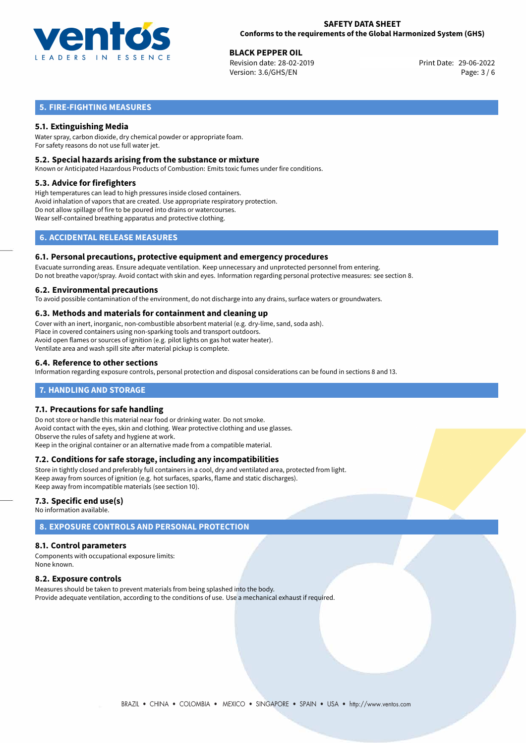

**BLACK PEPPER OIL**<br> **29-06-2022 Revision date: 28-02-2019** Revision date: 28-02-2019 Version: 3.6/GHS/EN Page: 3 / 6

# **5. FIRE-FIGHTING MEASURES**

# **5.1. Extinguishing Media**

Water spray, carbon dioxide, dry chemical powder or appropriate foam. For safety reasons do not use full water jet.

#### **5.2. Special hazards arising from the substance or mixture**

Known or Anticipated Hazardous Products of Combustion: Emits toxic fumes under fire conditions.

#### **5.3. Advice for firefighters**

High temperatures can lead to high pressures inside closed containers. Avoid inhalation of vapors that are created. Use appropriate respiratory protection. Do not allow spillage of fire to be poured into drains or watercourses. Wear self-contained breathing apparatus and protective clothing.

# **6. ACCIDENTAL RELEASE MEASURES**

#### **6.1. Personal precautions, protective equipment and emergency procedures**

Evacuate surronding areas. Ensure adequate ventilation. Keep unnecessary and unprotected personnel from entering. Do not breathe vapor/spray. Avoid contact with skin and eyes. Information regarding personal protective measures: see section 8.

#### **6.2. Environmental precautions**

To avoid possible contamination of the environment, do not discharge into any drains, surface waters or groundwaters.

## **6.3. Methods and materials for containment and cleaning up**

Cover with an inert, inorganic, non-combustible absorbent material (e.g. dry-lime, sand, soda ash). Place in covered containers using non-sparking tools and transport outdoors. Avoid open flames or sources of ignition (e.g. pilot lights on gas hot water heater). Ventilate area and wash spill site after material pickup is complete.

## **6.4. Reference to other sections**

Information regarding exposure controls, personal protection and disposal considerations can be found in sections 8 and 13.

## **7. HANDLING AND STORAGE**

## **7.1. Precautions for safe handling**

Do not store or handle this material near food or drinking water. Do not smoke. Avoid contact with the eyes, skin and clothing. Wear protective clothing and use glasses. Observe the rules of safety and hygiene at work. Keep in the original container or an alternative made from a compatible material.

## **7.2. Conditions for safe storage, including any incompatibilities**

Store in tightly closed and preferably full containers in a cool, dry and ventilated area, protected from light. Keep away from sources of ignition (e.g. hot surfaces, sparks, flame and static discharges). Keep away from incompatible materials (see section 10).

## **7.3. Specific end use(s)**

No information available.

# **8. EXPOSURE CONTROLS AND PERSONAL PROTECTION**

## **8.1. Control parameters**

Components with occupational exposure limits: None known.

## **8.2. Exposure controls**

Measures should be taken to prevent materials from being splashed into the body. Provide adequate ventilation, according to the conditions of use. Use a mechanical exhaust if required.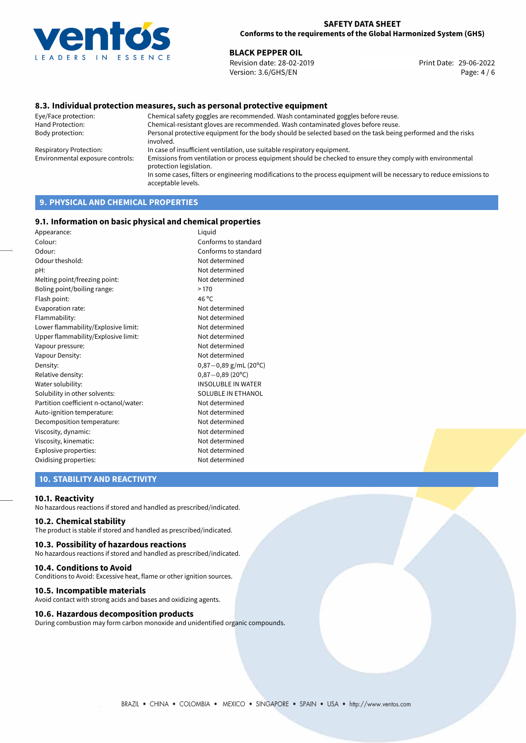

## **SAFETY DATA SHEET Conforms to the requirements of the Global Harmonized System (GHS)**

**BLACK PEPPER OIL**<br>
Revision date: 28-02-2019<br> **Print Date: 29-06-2022** Revision date: 28-02-2019 Version: 3.6/GHS/EN Page: 4 / 6

## **8.3. Individual protection measures, such as personal protective equipment**

Eye/Face protection: Chemical safety goggles are recommended. Wash contaminated goggles before reuse. Chemical-resistant gloves are recommended. Wash contaminated gloves before reuse. Body protection: Personal protective equipment for the body should be selected based on the task being performed and the risks involved. Respiratory Protection: In case of insufficient ventilation, use suitable respiratory equipment. Environmental exposure controls: Emissions from ventilation or process equipment should be checked to ensure they comply with environmental protection legislation. In some cases, filters or engineering modifications to the process equipment will be necessary to reduce emissions to acceptable levels.

# **9. PHYSICAL AND CHEMICAL PROPERTIES**

#### **9.1. Information on basic physical and chemical properties**

| Appearance:                            | Liguid                    |
|----------------------------------------|---------------------------|
| Colour:                                | Conforms to standard      |
| Odour:                                 | Conforms to standard      |
| Odour theshold:                        | Not determined            |
| pH:                                    | Not determined            |
| Melting point/freezing point:          | Not determined            |
| Boling point/boiling range:            | >170                      |
| Flash point:                           | 46 °C                     |
| Evaporation rate:                      | Not determined            |
| Flammability:                          | Not determined            |
| Lower flammability/Explosive limit:    | Not determined            |
| Upper flammability/Explosive limit:    | Not determined            |
| Vapour pressure:                       | Not determined            |
| Vapour Density:                        | Not determined            |
| Density:                               | $0,87-0,89$ g/mL (20°C)   |
| Relative density:                      | $0,87 - 0,89$ (20°C)      |
| Water solubility:                      | <b>INSOLUBLE IN WATER</b> |
| Solubility in other solvents:          | SOLUBLE IN ETHANOL        |
| Partition coefficient n-octanol/water: | Not determined            |
| Auto-ignition temperature:             | Not determined            |
| Decomposition temperature:             | Not determined            |
| Viscosity, dynamic:                    | Not determined            |
| Viscosity, kinematic:                  | Not determined            |
| Explosive properties:                  | Not determined            |
| Oxidising properties:                  | Not determined            |
|                                        |                           |

## **10. STABILITY AND REACTIVITY**

#### **10.1. Reactivity**

No hazardous reactions if stored and handled as prescribed/indicated.

## **10.2. Chemical stability**

The product is stable if stored and handled as prescribed/indicated.

#### **10.3. Possibility of hazardous reactions**

No hazardous reactions if stored and handled as prescribed/indicated.

#### **10.4. Conditions to Avoid**

Conditions to Avoid: Excessive heat, flame or other ignition sources.

#### **10.5. Incompatible materials**

Avoid contact with strong acids and bases and oxidizing agents.

#### **10.6. Hazardous decomposition products**

During combustion may form carbon monoxide and unidentified organic compounds.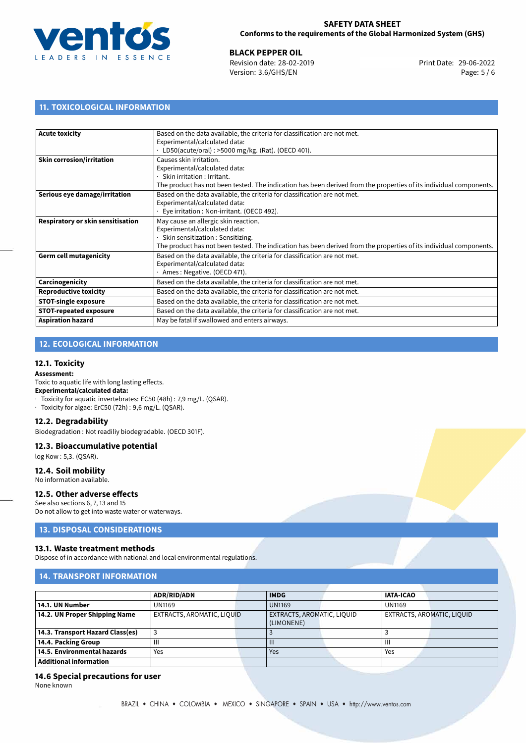

**BLACK PEPPER OIL**<br>
Revision date: 28-02-2019 **Print Date: 29-06-2022** Version: 3.6/GHS/EN Page: 5 / 6

# **11. TOXICOLOGICAL INFORMATION**

| <b>Acute toxicity</b>             | Based on the data available, the criteria for classification are not met.                                          |  |  |  |
|-----------------------------------|--------------------------------------------------------------------------------------------------------------------|--|--|--|
|                                   | Experimental/calculated data:                                                                                      |  |  |  |
|                                   | LD50(acute/oral): >5000 mg/kg. (Rat). (OECD 401).                                                                  |  |  |  |
| <b>Skin corrosion/irritation</b>  | Causes skin irritation.                                                                                            |  |  |  |
|                                   | Experimental/calculated data:                                                                                      |  |  |  |
|                                   | Skin irritation: Irritant.                                                                                         |  |  |  |
|                                   | The product has not been tested. The indication has been derived from the properties of its individual components. |  |  |  |
| Serious eye damage/irritation     | Based on the data available, the criteria for classification are not met.                                          |  |  |  |
|                                   | Experimental/calculated data:                                                                                      |  |  |  |
|                                   | Eye irritation : Non-irritant. (OECD 492).                                                                         |  |  |  |
| Respiratory or skin sensitisation | May cause an allergic skin reaction.                                                                               |  |  |  |
|                                   | Experimental/calculated data:                                                                                      |  |  |  |
|                                   | Skin sensitization: Sensitizing.                                                                                   |  |  |  |
|                                   | The product has not been tested. The indication has been derived from the properties of its individual components. |  |  |  |
| <b>Germ cell mutagenicity</b>     | Based on the data available, the criteria for classification are not met.                                          |  |  |  |
|                                   | Experimental/calculated data:                                                                                      |  |  |  |
|                                   | Ames: Negative. (OECD 471).                                                                                        |  |  |  |
| Carcinogenicity                   | Based on the data available, the criteria for classification are not met.                                          |  |  |  |
| <b>Reproductive toxicity</b>      | Based on the data available, the criteria for classification are not met.                                          |  |  |  |
| <b>STOT-single exposure</b>       | Based on the data available, the criteria for classification are not met.                                          |  |  |  |
| <b>STOT-repeated exposure</b>     | Based on the data available, the criteria for classification are not met.                                          |  |  |  |
| <b>Aspiration hazard</b>          | May be fatal if swallowed and enters airways.                                                                      |  |  |  |

# **12. ECOLOGICAL INFORMATION**

#### **12.1. Toxicity**

#### **Assessment:**

Toxic to aquatic life with long lasting effects.

## **Experimental/calculated data:**

- · Toxicity for aquatic invertebrates: EC50 (48h) : 7,9 mg/L. (QSAR).
- · Toxicity for algae: ErC50 (72h) : 9,6 mg/L. (QSAR).

#### **12.2. Degradability**

Biodegradation : Not readiliy biodegradable. (OECD 301F).

#### **12.3. Bioaccumulative potential**

log Kow : 5,3. (QSAR).

## **12.4. Soil mobility**

No information available.

# **12.5. Other adverse effects**

See also sections 6, 7, 13 and 15

Do not allow to get into waste water or waterways.

# **13. DISPOSAL CONSIDERATIONS**

## **13.1. Waste treatment methods**

Dispose of in accordance with national and local environmental regulations.

# **14. TRANSPORT INFORMATION**

|                                  | <b>ADR/RID/ADN</b>                | <b>IMDG</b>                | <b>IATA-ICAO</b>           |
|----------------------------------|-----------------------------------|----------------------------|----------------------------|
| 14.1. UN Number                  | <b>UN1169</b>                     | <b>UN1169</b>              | <b>UN1169</b>              |
| 14.2. UN Proper Shipping Name    | <b>EXTRACTS, AROMATIC, LIQUID</b> | EXTRACTS, AROMATIC, LIQUID | EXTRACTS, AROMATIC, LIQUID |
|                                  |                                   | (LIMONENE)                 |                            |
| 14.3. Transport Hazard Class(es) |                                   |                            |                            |
| 14.4. Packing Group              | Ш                                 | $\mathbf{III}$             | Ш                          |
| 14.5. Environmental hazards      | Yes                               | Yes                        | Yes                        |
| Additional information           |                                   |                            |                            |

## **14.6 Special precautions for user**

None known